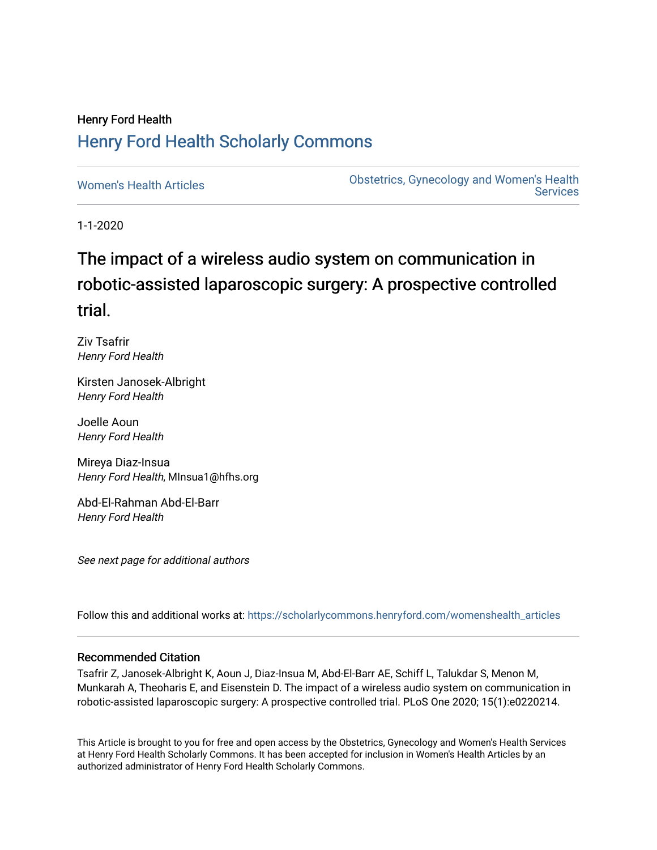# Henry Ford Health [Henry Ford Health Scholarly Commons](https://scholarlycommons.henryford.com/)

[Women's Health Articles](https://scholarlycommons.henryford.com/womenshealth_articles) **Constructed Articles** Obstetrics, Gynecology and Women's Health **Services** 

1-1-2020

# The impact of a wireless audio system on communication in robotic-assisted laparoscopic surgery: A prospective controlled trial.

Ziv Tsafrir Henry Ford Health

Kirsten Janosek-Albright Henry Ford Health

Joelle Aoun Henry Ford Health

Mireya Diaz-Insua Henry Ford Health, MInsua1@hfhs.org

Abd-El-Rahman Abd-El-Barr Henry Ford Health

See next page for additional authors

Follow this and additional works at: [https://scholarlycommons.henryford.com/womenshealth\\_articles](https://scholarlycommons.henryford.com/womenshealth_articles?utm_source=scholarlycommons.henryford.com%2Fwomenshealth_articles%2F90&utm_medium=PDF&utm_campaign=PDFCoverPages) 

# Recommended Citation

Tsafrir Z, Janosek-Albright K, Aoun J, Diaz-Insua M, Abd-El-Barr AE, Schiff L, Talukdar S, Menon M, Munkarah A, Theoharis E, and Eisenstein D. The impact of a wireless audio system on communication in robotic-assisted laparoscopic surgery: A prospective controlled trial. PLoS One 2020; 15(1):e0220214.

This Article is brought to you for free and open access by the Obstetrics, Gynecology and Women's Health Services at Henry Ford Health Scholarly Commons. It has been accepted for inclusion in Women's Health Articles by an authorized administrator of Henry Ford Health Scholarly Commons.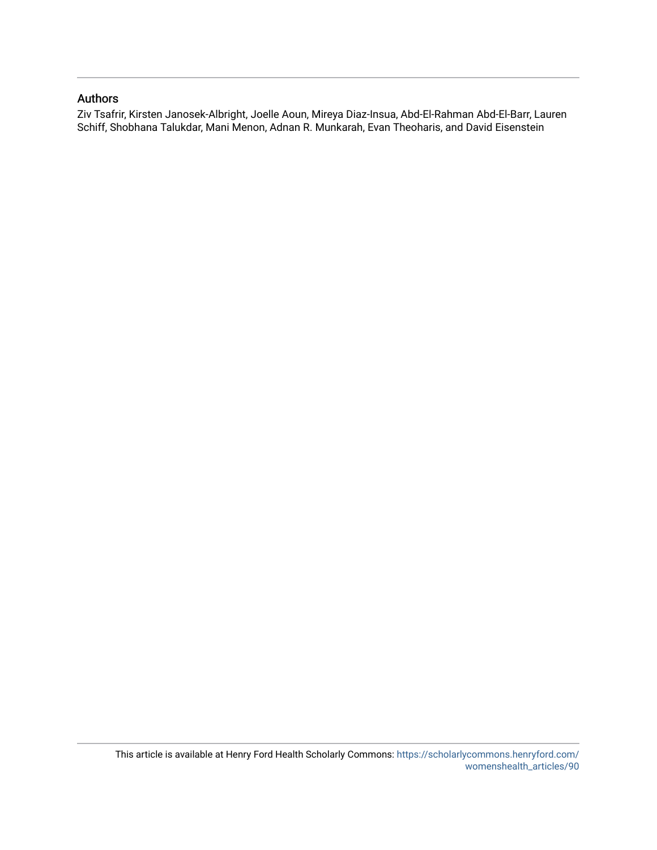### Authors

Ziv Tsafrir, Kirsten Janosek-Albright, Joelle Aoun, Mireya Diaz-Insua, Abd-El-Rahman Abd-El-Barr, Lauren Schiff, Shobhana Talukdar, Mani Menon, Adnan R. Munkarah, Evan Theoharis, and David Eisenstein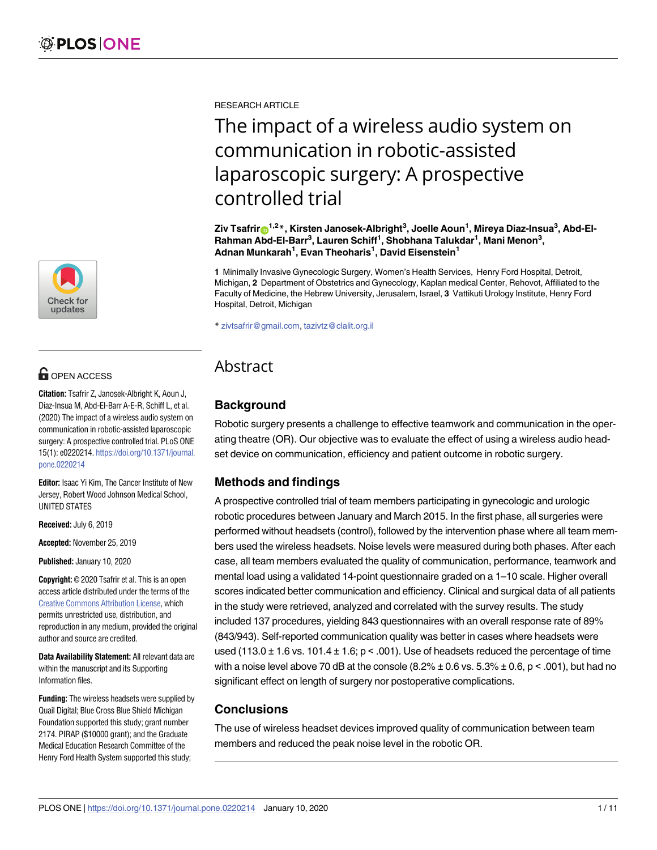

# **OPEN ACCESS**

**Citation:** Tsafrir Z, Janosek-Albright K, Aoun J, Diaz-Insua M, Abd-El-Barr A-E-R, Schiff L, et al. (2020) The impact of a wireless audio system on communication in robotic-assisted laparoscopic surgery: A prospective controlled trial. PLoS ONE 15(1): e0220214. [https://doi.org/10.1371/journal.](https://doi.org/10.1371/journal.pone.0220214) [pone.0220214](https://doi.org/10.1371/journal.pone.0220214)

**Editor:** Isaac Yi Kim, The Cancer Institute of New Jersey, Robert Wood Johnson Medical School, UNITED STATES

**Received:** July 6, 2019

**Accepted:** November 25, 2019

**Published:** January 10, 2020

**Copyright:** © 2020 Tsafrir et al. This is an open access article distributed under the terms of the Creative Commons [Attribution](http://creativecommons.org/licenses/by/4.0/) License, which permits unrestricted use, distribution, and reproduction in any medium, provided the original author and source are credited.

**Data Availability Statement:** All relevant data are within the manuscript and its Supporting Information files.

**Funding:** The wireless headsets were supplied by Quail Digital; Blue Cross Blue Shield Michigan Foundation supported this study; grant number 2174. PIRAP (\$10000 grant); and the Graduate Medical Education Research Committee of the Henry Ford Health System supported this study;

RESEARCH ARTICLE

# The impact of a wireless audio system on communication in robotic-assisted laparoscopic surgery: A prospective controlled trial

 $\blacksquare$ Ziv Tsafrir $\blacksquare^{1,2}$ \*, Kirsten Janosek-Albright $^3$ , Joelle Aoun $^1$ , Mireya Diaz-Insua $^3$ , Abd-El-**Rahman Abd-El-Barr3 , Lauren Schiff1 , Shobhana Talukdar1 , Mani Menon3 , Adnan Munkarah1 , Evan Theoharis1 , David Eisenstein1**

**1** Minimally Invasive Gynecologic Surgery, Women's Health Services, Henry Ford Hospital, Detroit, Michigan, **2** Department of Obstetrics and Gynecology, Kaplan medical Center, Rehovot, Affiliated to the Faculty of Medicine, the Hebrew University, Jerusalem, Israel, **3** Vattikuti Urology Institute, Henry Ford Hospital, Detroit, Michigan

\* zivtsafrir@gmail.com, tazivtz@clalit.org.il

# Abstract

# **Background**

Robotic surgery presents a challenge to effective teamwork and communication in the operating theatre (OR). Our objective was to evaluate the effect of using a wireless audio headset device on communication, efficiency and patient outcome in robotic surgery.

# **Methods and findings**

A prospective controlled trial of team members participating in gynecologic and urologic robotic procedures between January and March 2015. In the first phase, all surgeries were performed without headsets (control), followed by the intervention phase where all team members used the wireless headsets. Noise levels were measured during both phases. After each case, all team members evaluated the quality of communication, performance, teamwork and mental load using a validated 14-point questionnaire graded on a 1–10 scale. Higher overall scores indicated better communication and efficiency. Clinical and surgical data of all patients in the study were retrieved, analyzed and correlated with the survey results. The study included 137 procedures, yielding 843 questionnaires with an overall response rate of 89% (843/943). Self-reported communication quality was better in cases where headsets were used (113.0  $\pm$  1.6 vs. 101.4  $\pm$  1.6; p < .001). Use of headsets reduced the percentage of time with a noise level above 70 dB at the console  $(8.2\% \pm 0.6 \text{ vs. } 5.3\% \pm 0.6 \text{, p} < .001)$ , but had no significant effect on length of surgery nor postoperative complications.

# **Conclusions**

The use of wireless headset devices improved quality of communication between team members and reduced the peak noise level in the robotic OR.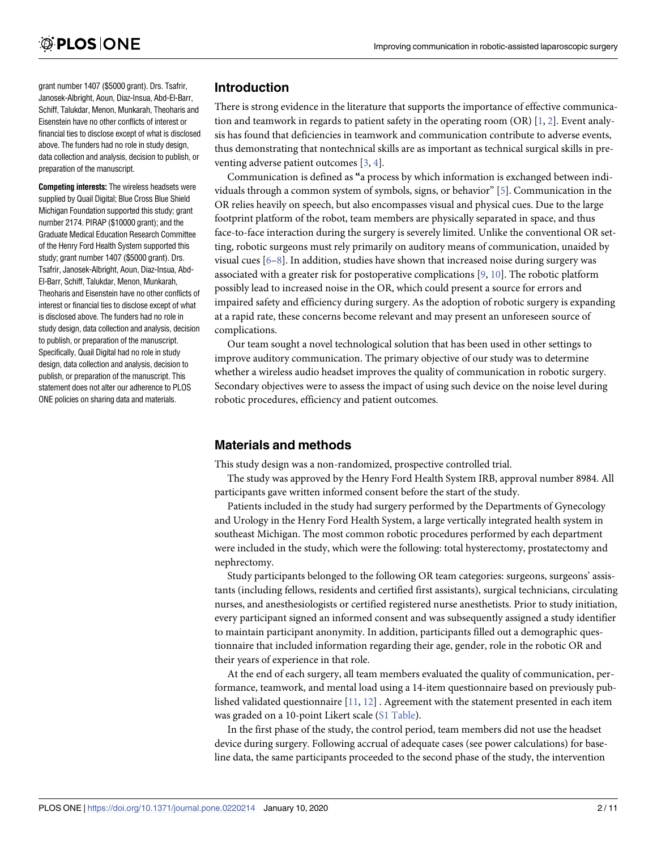<span id="page-3-0"></span>grant number 1407 (\$5000 grant). Drs. Tsafrir, Janosek-Albright, Aoun, Diaz-Insua, Abd-El-Barr, Schiff, Talukdar, Menon, Munkarah, Theoharis and Eisenstein have no other conflicts of interest or financial ties to disclose except of what is disclosed above. The funders had no role in study design, data collection and analysis, decision to publish, or preparation of the manuscript.

**Competing interests:** The wireless headsets were supplied by Quail Digital; Blue Cross Blue Shield Michigan Foundation supported this study; grant number 2174. PIRAP (\$10000 grant); and the Graduate Medical Education Research Committee of the Henry Ford Health System supported this study; grant number 1407 (\$5000 grant). Drs. Tsafrir, Janosek-Albright, Aoun, Diaz-Insua, Abd-El-Barr, Schiff, Talukdar, Menon, Munkarah, Theoharis and Eisenstein have no other conflicts of interest or financial ties to disclose except of what is disclosed above. The funders had no role in study design, data collection and analysis, decision to publish, or preparation of the manuscript. Specifically, Quail Digital had no role in study design, data collection and analysis, decision to publish, or preparation of the manuscript. This statement does not alter our adherence to PLOS ONE policies on sharing data and materials.

# **Introduction**

There is strong evidence in the literature that supports the importance of effective communication and teamwork in regards to patient safety in the operating room  $(OR)$  [\[1](#page-11-0), [2](#page-11-0)]. Event analysis has found that deficiencies in teamwork and communication contribute to adverse events, thus demonstrating that nontechnical skills are as important as technical surgical skills in preventing adverse patient outcomes [[3,](#page-11-0) [4\]](#page-11-0).

Communication is defined as **"**a process by which information is exchanged between individuals through a common system of symbols, signs, or behavior" [\[5](#page-11-0)]. Communication in the OR relies heavily on speech, but also encompasses visual and physical cues. Due to the large footprint platform of the robot, team members are physically separated in space, and thus face-to-face interaction during the surgery is severely limited. Unlike the conventional OR setting, robotic surgeons must rely primarily on auditory means of communication, unaided by visual cues [\[6–8\]](#page-11-0). In addition, studies have shown that increased noise during surgery was associated with a greater risk for postoperative complications [\[9,](#page-11-0) [10\]](#page-11-0). The robotic platform possibly lead to increased noise in the OR, which could present a source for errors and impaired safety and efficiency during surgery. As the adoption of robotic surgery is expanding at a rapid rate, these concerns become relevant and may present an unforeseen source of complications.

Our team sought a novel technological solution that has been used in other settings to improve auditory communication. The primary objective of our study was to determine whether a wireless audio headset improves the quality of communication in robotic surgery. Secondary objectives were to assess the impact of using such device on the noise level during robotic procedures, efficiency and patient outcomes.

# **Materials and methods**

This study design was a non-randomized, prospective controlled trial.

The study was approved by the Henry Ford Health System IRB, approval number 8984. All participants gave written informed consent before the start of the study.

Patients included in the study had surgery performed by the Departments of Gynecology and Urology in the Henry Ford Health System, a large vertically integrated health system in southeast Michigan. The most common robotic procedures performed by each department were included in the study, which were the following: total hysterectomy, prostatectomy and nephrectomy.

Study participants belonged to the following OR team categories: surgeons, surgeons' assistants (including fellows, residents and certified first assistants), surgical technicians, circulating nurses, and anesthesiologists or certified registered nurse anesthetists. Prior to study initiation, every participant signed an informed consent and was subsequently assigned a study identifier to maintain participant anonymity. In addition, participants filled out a demographic questionnaire that included information regarding their age, gender, role in the robotic OR and their years of experience in that role.

At the end of each surgery, all team members evaluated the quality of communication, performance, teamwork, and mental load using a 14-item questionnaire based on previously published validated questionnaire [[11,](#page-11-0) [12\]](#page-11-0) . Agreement with the statement presented in each item was graded on a 10-point Likert scale (S1 [Table](#page-10-0)).

In the first phase of the study, the control period, team members did not use the headset device during surgery. Following accrual of adequate cases (see power calculations) for baseline data, the same participants proceeded to the second phase of the study, the intervention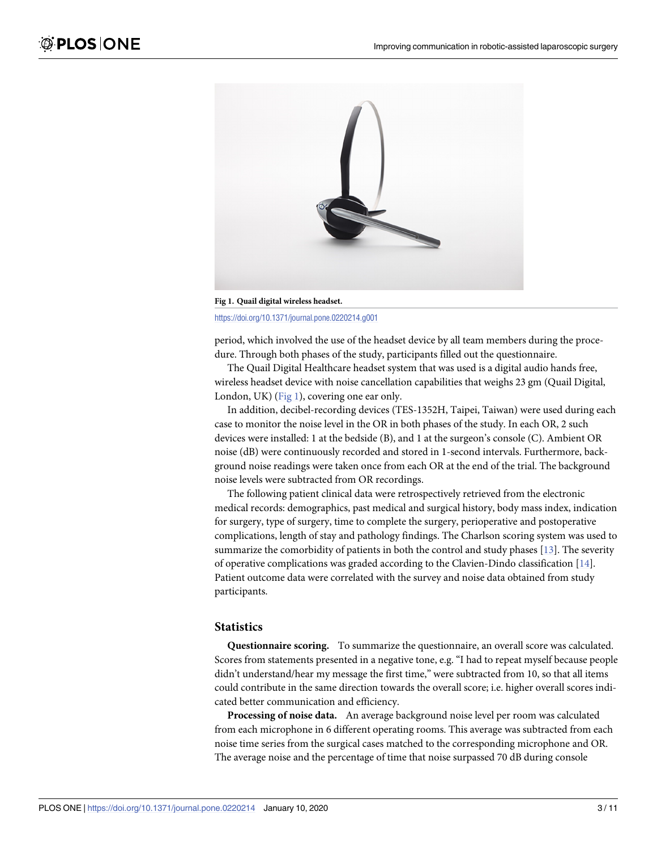<span id="page-4-0"></span>

**Fig 1. Quail digital wireless headset.**

<https://doi.org/10.1371/journal.pone.0220214.g001>

period, which involved the use of the headset device by all team members during the procedure. Through both phases of the study, participants filled out the questionnaire.

The Quail Digital Healthcare headset system that was used is a digital audio hands free, wireless headset device with noise cancellation capabilities that weighs 23 gm (Quail Digital, London, UK) (Fig 1), covering one ear only.

In addition, decibel-recording devices (TES-1352H, Taipei, Taiwan) were used during each case to monitor the noise level in the OR in both phases of the study. In each OR, 2 such devices were installed: 1 at the bedside (B), and 1 at the surgeon's console (C). Ambient OR noise (dB) were continuously recorded and stored in 1-second intervals. Furthermore, background noise readings were taken once from each OR at the end of the trial. The background noise levels were subtracted from OR recordings.

The following patient clinical data were retrospectively retrieved from the electronic medical records: demographics, past medical and surgical history, body mass index, indication for surgery, type of surgery, time to complete the surgery, perioperative and postoperative complications, length of stay and pathology findings. The Charlson scoring system was used to summarize the comorbidity of patients in both the control and study phases [[13](#page-11-0)]. The severity of operative complications was graded according to the Clavien-Dindo classification [\[14\]](#page-11-0). Patient outcome data were correlated with the survey and noise data obtained from study participants.

#### **Statistics**

**Questionnaire scoring.** To summarize the questionnaire, an overall score was calculated. Scores from statements presented in a negative tone, e.g. "I had to repeat myself because people didn't understand/hear my message the first time," were subtracted from 10, so that all items could contribute in the same direction towards the overall score; i.e. higher overall scores indicated better communication and efficiency.

**Processing of noise data.** An average background noise level per room was calculated from each microphone in 6 different operating rooms. This average was subtracted from each noise time series from the surgical cases matched to the corresponding microphone and OR. The average noise and the percentage of time that noise surpassed 70 dB during console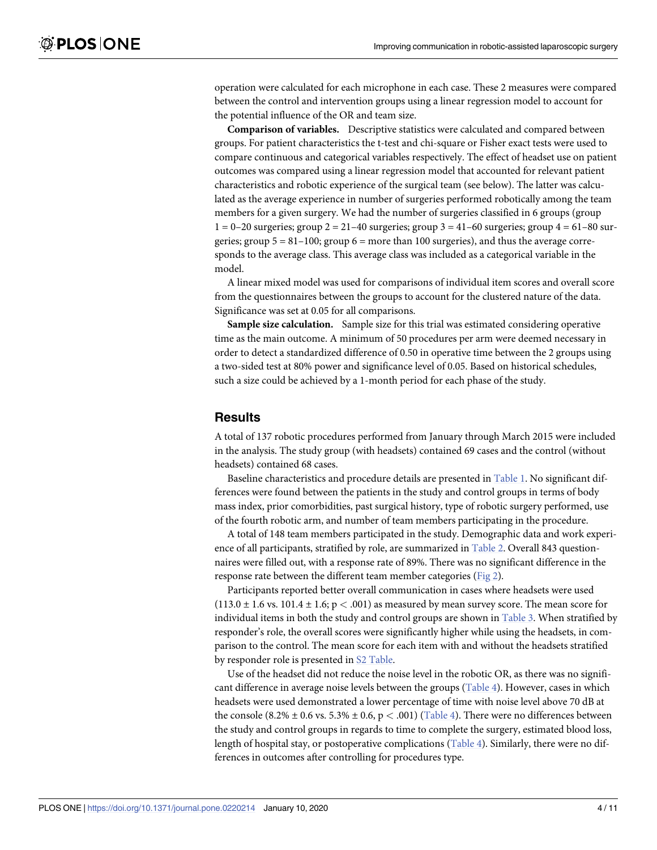<span id="page-5-0"></span>operation were calculated for each microphone in each case. These 2 measures were compared between the control and intervention groups using a linear regression model to account for the potential influence of the OR and team size.

**Comparison of variables.** Descriptive statistics were calculated and compared between groups. For patient characteristics the t-test and chi-square or Fisher exact tests were used to compare continuous and categorical variables respectively. The effect of headset use on patient outcomes was compared using a linear regression model that accounted for relevant patient characteristics and robotic experience of the surgical team (see below). The latter was calculated as the average experience in number of surgeries performed robotically among the team members for a given surgery. We had the number of surgeries classified in 6 groups (group  $1 = 0-20$  surgeries; group  $2 = 21-40$  surgeries; group  $3 = 41-60$  surgeries; group  $4 = 61-80$  surgeries; group  $5 = 81 - 100$ ; group  $6 =$  more than 100 surgeries), and thus the average corresponds to the average class. This average class was included as a categorical variable in the model.

A linear mixed model was used for comparisons of individual item scores and overall score from the questionnaires between the groups to account for the clustered nature of the data. Significance was set at 0.05 for all comparisons.

**Sample size calculation.** Sample size for this trial was estimated considering operative time as the main outcome. A minimum of 50 procedures per arm were deemed necessary in order to detect a standardized difference of 0.50 in operative time between the 2 groups using a two-sided test at 80% power and significance level of 0.05. Based on historical schedules, such a size could be achieved by a 1-month period for each phase of the study.

#### **Results**

A total of 137 robotic procedures performed from January through March 2015 were included in the analysis. The study group (with headsets) contained 69 cases and the control (without headsets) contained 68 cases.

Baseline characteristics and procedure details are presented in [Table](#page-6-0) 1. No significant differences were found between the patients in the study and control groups in terms of body mass index, prior comorbidities, past surgical history, type of robotic surgery performed, use of the fourth robotic arm, and number of team members participating in the procedure.

A total of 148 team members participated in the study. Demographic data and work experience of all participants, stratified by role, are summarized in [Table](#page-7-0) 2. Overall 843 questionnaires were filled out, with a response rate of 89%. There was no significant difference in the response rate between the different team member categories [\(Fig](#page-8-0) 2).

Participants reported better overall communication in cases where headsets were used  $(113.0 \pm 1.6 \text{ vs. } 101.4 \pm 1.6; \text{ p} < .001)$  as measured by mean survey score. The mean score for individual items in both the study and control groups are shown in [Table](#page-9-0) 3. When stratified by responder's role, the overall scores were significantly higher while using the headsets, in comparison to the control. The mean score for each item with and without the headsets stratified by responder role is presented in S2 [Table](#page-10-0).

Use of the headset did not reduce the noise level in the robotic OR, as there was no significant difference in average noise levels between the groups [\(Table](#page-9-0) 4). However, cases in which headsets were used demonstrated a lower percentage of time with noise level above 70 dB at the console  $(8.2\% \pm 0.6 \text{ vs. } 5.3\% \pm 0.6, p < .001)$  [\(Table](#page-9-0) 4). There were no differences between the study and control groups in regards to time to complete the surgery, estimated blood loss, length of hospital stay, or postoperative complications ([Table](#page-9-0) 4). Similarly, there were no differences in outcomes after controlling for procedures type.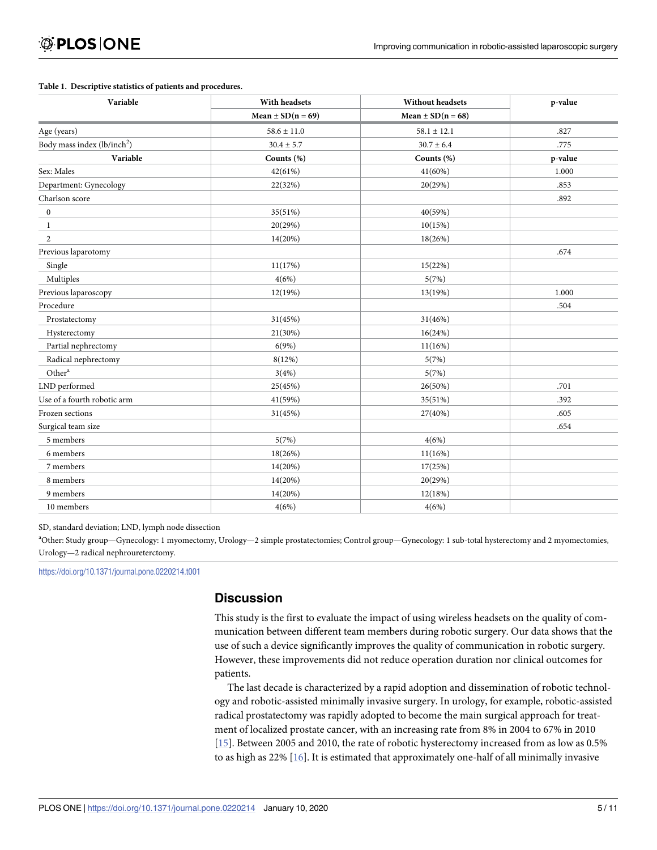#### <span id="page-6-0"></span>**[Table](#page-5-0) 1. Descriptive statistics of patients and procedures.**

| Variable                                | <b>With headsets</b>  | <b>Without headsets</b> | p-value |  |
|-----------------------------------------|-----------------------|-------------------------|---------|--|
|                                         | Mean $\pm$ SD(n = 69) | Mean $\pm$ SD(n = 68)   |         |  |
| Age (years)                             | $58.6 \pm 11.0$       | $58.1 \pm 12.1$         | .827    |  |
| Body mass index (lb/inch <sup>2</sup> ) | $30.4 \pm 5.7$        | $30.7\pm6.4$            | .775    |  |
| Variable                                | Counts (%)            | Counts (%)              | p-value |  |
| Sex: Males                              | 42(61%)               | $41(60\%)$              | 1.000   |  |
| Department: Gynecology                  | 22(32%)               | 20(29%)                 | .853    |  |
| Charlson score                          |                       |                         | .892    |  |
| $\boldsymbol{0}$                        | 35(51%)               | 40(59%)                 |         |  |
| 1                                       | 20(29%)               | 10(15%)                 |         |  |
| $\overline{c}$                          | 14(20%)               | 18(26%)                 |         |  |
| Previous laparotomy                     |                       |                         | .674    |  |
| Single                                  | 11(17%)               | 15(22%)                 |         |  |
| Multiples                               | 4(6%)                 | 5(7%)                   |         |  |
| Previous laparoscopy                    | 12(19%)               | 13(19%)                 | 1.000   |  |
| Procedure                               |                       |                         | .504    |  |
| Prostatectomy                           | 31(45%)               | 31(46%)                 |         |  |
| Hysterectomy                            | 21(30%)               | 16(24%)                 |         |  |
| Partial nephrectomy                     | 6(9%)                 | 11(16%)                 |         |  |
| Radical nephrectomy                     | 8(12%)                | 5(7%)                   |         |  |
| $\mathrm{Other}^{\mathrm{a}}$           | 3(4%)                 | 5(7%)                   |         |  |
| LND performed                           | 25(45%)               | 26(50%)                 | .701    |  |
| Use of a fourth robotic arm             | 41(59%)               | 35(51%)                 | .392    |  |
| Frozen sections                         | 31(45%)               | 27(40%)                 | .605    |  |
| Surgical team size                      |                       |                         | .654    |  |
| 5 members                               | 5(7%)                 | 4(6%)                   |         |  |
| 6 members                               | 18(26%)               | 11(16%)                 |         |  |
| 7 members                               | 14(20%)               | 17(25%)                 |         |  |
| 8 members                               | 14(20%)               | 20(29%)                 |         |  |
| 9 members                               | 14(20%)               | 12(18%)                 |         |  |
| 10 members                              | 4(6%)                 | 4(6%)                   |         |  |
|                                         |                       |                         |         |  |

SD, standard deviation; LND, lymph node dissection

a Other: Study group—Gynecology: 1 myomectomy, Urology—2 simple prostatectomies; Control group—Gynecology: 1 sub-total hysterectomy and 2 myomectomies, Urology—2 radical nephroureterctomy.

<https://doi.org/10.1371/journal.pone.0220214.t001>

### **Discussion**

This study is the first to evaluate the impact of using wireless headsets on the quality of communication between different team members during robotic surgery. Our data shows that the use of such a device significantly improves the quality of communication in robotic surgery. However, these improvements did not reduce operation duration nor clinical outcomes for patients.

The last decade is characterized by a rapid adoption and dissemination of robotic technology and robotic-assisted minimally invasive surgery. In urology, for example, robotic-assisted radical prostatectomy was rapidly adopted to become the main surgical approach for treatment of localized prostate cancer, with an increasing rate from 8% in 2004 to 67% in 2010 [\[15\]](#page-11-0). Between 2005 and 2010, the rate of robotic hysterectomy increased from as low as 0.5% to as high as 22% [\[16\]](#page-11-0). It is estimated that approximately one-half of all minimally invasive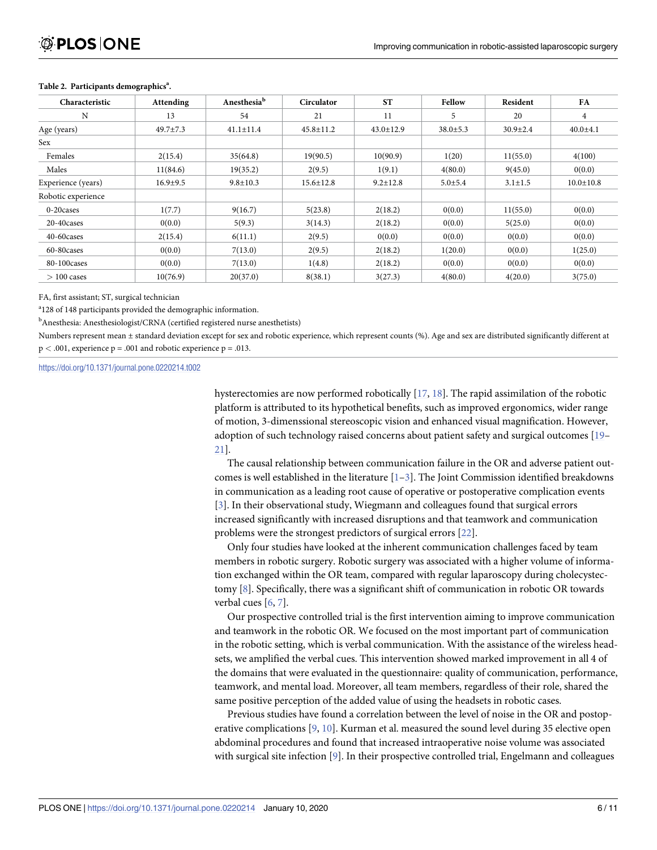| Characteristic     | Attending      | Anesthesia <sup>b</sup> | Circulator      | <b>ST</b>       | Fellow         | Resident       | FA              |
|--------------------|----------------|-------------------------|-----------------|-----------------|----------------|----------------|-----------------|
| N                  | 13             | 54                      | 21              | 11              | 5              | 20             | 4               |
| Age (years)        | $49.7 \pm 7.3$ | $41.1 \pm 11.4$         | $45.8 \pm 11.2$ | $43.0 \pm 12.9$ | $38.0 \pm 5.3$ | $30.9 \pm 2.4$ | $40.0 \pm 4.1$  |
| Sex                |                |                         |                 |                 |                |                |                 |
| Females            | 2(15.4)        | 35(64.8)                | 19(90.5)        | 10(90.9)        | 1(20)          | 11(55.0)       | 4(100)          |
| Males              | 11(84.6)       | 19(35.2)                | 2(9.5)          | 1(9.1)          | 4(80.0)        | 9(45.0)        | 0(0.0)          |
| Experience (years) | $16.9 + 9.5$   | $9.8 \pm 10.3$          | $15.6 \pm 12.8$ | $9.2 \pm 12.8$  | $5.0 \pm 5.4$  | $3.1 \pm 1.5$  | $10.0 \pm 10.8$ |
| Robotic experience |                |                         |                 |                 |                |                |                 |
| $0-20$ cases       | 1(7.7)         | 9(16.7)                 | 5(23.8)         | 2(18.2)         | 0(0.0)         | 11(55.0)       | 0(0.0)          |
| 20-40cases         | 0(0.0)         | 5(9.3)                  | 3(14.3)         | 2(18.2)         | 0(0.0)         | 5(25.0)        | 0(0.0)          |
| 40-60 cases        | 2(15.4)        | 6(11.1)                 | 2(9.5)          | 0(0.0)          | 0(0.0)         | 0(0.0)         | 0(0.0)          |
| 60-80 cases        | 0(0.0)         | 7(13.0)                 | 2(9.5)          | 2(18.2)         | 1(20.0)        | 0(0.0)         | 1(25.0)         |
| 80-100cases        | 0(0.0)         | 7(13.0)                 | 1(4.8)          | 2(18.2)         | 0(0.0)         | 0(0.0)         | 0(0.0)          |
| $> 100$ cases      | 10(76.9)       | 20(37.0)                | 8(38.1)         | 3(27.3)         | 4(80.0)        | 4(20.0)        | 3(75.0)         |

#### <span id="page-7-0"></span>[Table](#page-5-0) 2. Participants demographics<sup>a</sup>.

FA, first assistant; ST, surgical technician

<sup>a</sup>128 of 148 participants provided the demographic information.

**b** Anesthesia: Anesthesiologist/CRNA (certified registered nurse anesthetists)

Numbers represent mean ± standard deviation except for sex and robotic experience, which represent counts (%). Age and sex are distributed significantly different at p *<* .001, experience p = .001 and robotic experience p = .013.

<https://doi.org/10.1371/journal.pone.0220214.t002>

hysterectomies are now performed robotically [[17](#page-11-0), [18](#page-11-0)]. The rapid assimilation of the robotic platform is attributed to its hypothetical benefits, such as improved ergonomics, wider range of motion, 3-dimenssional stereoscopic vision and enhanced visual magnification. However, adoption of such technology raised concerns about patient safety and surgical outcomes [\[19–](#page-12-0) [21\]](#page-12-0).

The causal relationship between communication failure in the OR and adverse patient outcomes is well established in the literature [\[1–3](#page-11-0)]. The Joint Commission identified breakdowns in communication as a leading root cause of operative or postoperative complication events [\[3](#page-11-0)]. In their observational study, Wiegmann and colleagues found that surgical errors increased significantly with increased disruptions and that teamwork and communication problems were the strongest predictors of surgical errors [\[22\]](#page-12-0).

Only four studies have looked at the inherent communication challenges faced by team members in robotic surgery. Robotic surgery was associated with a higher volume of information exchanged within the OR team, compared with regular laparoscopy during cholecystectomy [\[8](#page-11-0)]. Specifically, there was a significant shift of communication in robotic OR towards verbal cues [[6](#page-11-0), [7\]](#page-11-0).

Our prospective controlled trial is the first intervention aiming to improve communication and teamwork in the robotic OR. We focused on the most important part of communication in the robotic setting, which is verbal communication. With the assistance of the wireless headsets, we amplified the verbal cues. This intervention showed marked improvement in all 4 of the domains that were evaluated in the questionnaire: quality of communication, performance, teamwork, and mental load. Moreover, all team members, regardless of their role, shared the same positive perception of the added value of using the headsets in robotic cases.

Previous studies have found a correlation between the level of noise in the OR and postoperative complications [[9](#page-11-0), [10](#page-11-0)]. Kurman et al. measured the sound level during 35 elective open abdominal procedures and found that increased intraoperative noise volume was associated with surgical site infection [\[9\]](#page-11-0). In their prospective controlled trial, Engelmann and colleagues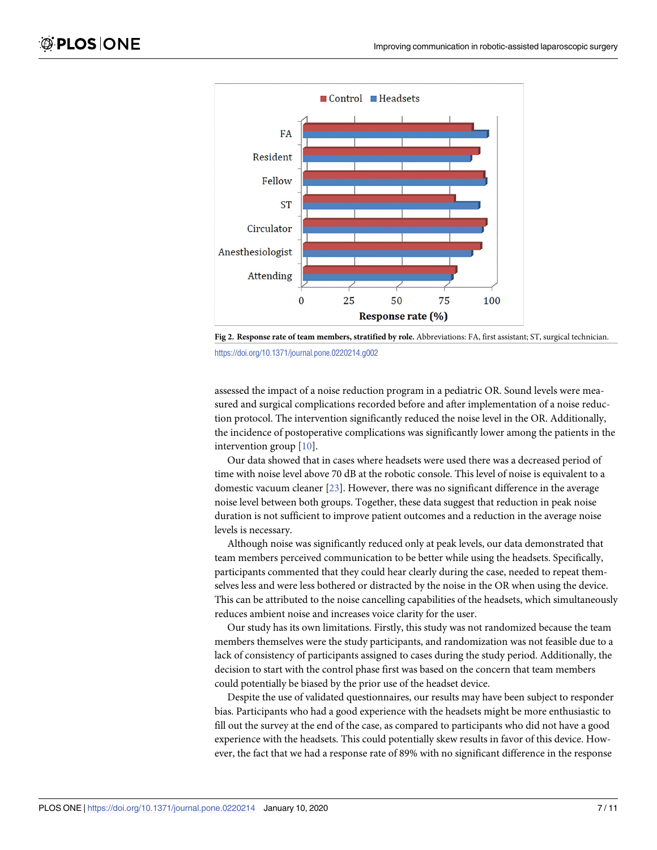<span id="page-8-0"></span>



<https://doi.org/10.1371/journal.pone.0220214.g002>

assessed the impact of a noise reduction program in a pediatric OR. Sound levels were measured and surgical complications recorded before and after implementation of a noise reduction protocol. The intervention significantly reduced the noise level in the OR. Additionally, the incidence of postoperative complications was significantly lower among the patients in the intervention group [\[10\]](#page-11-0).

Our data showed that in cases where headsets were used there was a decreased period of time with noise level above 70 dB at the robotic console. This level of noise is equivalent to a domestic vacuum cleaner [[23](#page-12-0)]. However, there was no significant difference in the average noise level between both groups. Together, these data suggest that reduction in peak noise duration is not sufficient to improve patient outcomes and a reduction in the average noise levels is necessary.

Although noise was significantly reduced only at peak levels, our data demonstrated that team members perceived communication to be better while using the headsets. Specifically, participants commented that they could hear clearly during the case, needed to repeat themselves less and were less bothered or distracted by the noise in the OR when using the device. This can be attributed to the noise cancelling capabilities of the headsets, which simultaneously reduces ambient noise and increases voice clarity for the user.

Our study has its own limitations. Firstly, this study was not randomized because the team members themselves were the study participants, and randomization was not feasible due to a lack of consistency of participants assigned to cases during the study period. Additionally, the decision to start with the control phase first was based on the concern that team members could potentially be biased by the prior use of the headset device.

Despite the use of validated questionnaires, our results may have been subject to responder bias. Participants who had a good experience with the headsets might be more enthusiastic to fill out the survey at the end of the case, as compared to participants who did not have a good experience with the headsets. This could potentially skew results in favor of this device. However, the fact that we had a response rate of 89% with no significant difference in the response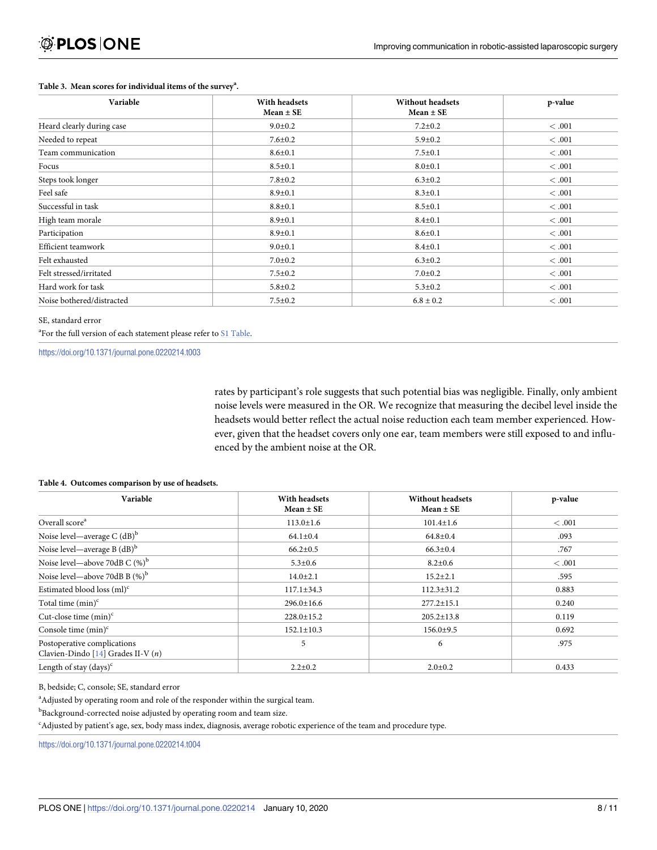#### <span id="page-9-0"></span>**[Table](#page-5-0) 3. Mean scores for individual items of the surveya .**

| Variable                  | <b>With headsets</b><br>$Mean \pm SE$ | <b>Without headsets</b><br>$Mean \pm SE$ |       |
|---------------------------|---------------------------------------|------------------------------------------|-------|
| Heard clearly during case | $9.0 \pm 0.2$                         | $7.2 \pm 0.2$                            | <.001 |
| Needed to repeat          | $7.6 \pm 0.2$                         | $5.9 \pm 0.2$                            | <.001 |
| Team communication        | $8.6 \pm 0.1$                         | $7.5 \pm 0.1$                            | <.001 |
| Focus                     | $8.5 \pm 0.1$                         | $8.0 \pm 0.1$                            | <.001 |
| Steps took longer         | $7.8 \pm 0.2$                         | $6.3 \pm 0.2$                            | <.001 |
| Feel safe                 | $8.9 \pm 0.1$                         | $8.3 \pm 0.1$                            | <.001 |
| Successful in task        | $8.8 \pm 0.1$                         | $8.5 \pm 0.1$                            | <.001 |
| High team morale          | $8.9 \pm 0.1$                         | $8.4 \pm 0.1$                            | <.001 |
| Participation             | $8.9 \pm 0.1$                         | $8.6 \pm 0.1$                            | <.001 |
| Efficient teamwork        | $9.0 \pm 0.1$                         | $8.4 \pm 0.1$                            | <.001 |
| Felt exhausted            | $7.0 \pm 0.2$                         | $6.3 \pm 0.2$                            | <.001 |
| Felt stressed/irritated   | $7.5 \pm 0.2$                         | $7.0 \pm 0.2$                            | <.001 |
| Hard work for task        | $5.8 \pm 0.2$                         | $5.3 \pm 0.2$                            | <.001 |
| Noise bothered/distracted | $7.5 \pm 0.2$                         | $6.8 \pm 0.2$                            | <.001 |

#### SE, standard error

<sup>a</sup>For the full version of each statement please refer to S1 [Table](#page-10-0).

<https://doi.org/10.1371/journal.pone.0220214.t003>

rates by participant's role suggests that such potential bias was negligible. Finally, only ambient noise levels were measured in the OR. We recognize that measuring the decibel level inside the headsets would better reflect the actual noise reduction each team member experienced. However, given that the headset covers only one ear, team members were still exposed to and influenced by the ambient noise at the OR.

#### **[Table](#page-5-0) 4. Outcomes comparison by use of headsets.**

| Variable                                                            | <b>With headsets</b><br>$Mean \pm SE$ | <b>Without headsets</b><br>$Mean \pm SE$ | p-value |
|---------------------------------------------------------------------|---------------------------------------|------------------------------------------|---------|
| Overall score <sup>a</sup>                                          | $113.0 \pm 1.6$                       | $101.4 \pm 1.6$                          | <.001   |
| Noise level—average C (dB) <sup>b</sup>                             | $64.1 \pm 0.4$                        | $64.8 \pm 0.4$                           | .093    |
| Noise level—average B (dB) <sup>b</sup>                             | $66.2 \pm 0.5$                        | $66.3 \pm 0.4$                           | .767    |
| Noise level—above 70dB C (%) <sup>b</sup>                           | $5.3 \pm 0.6$                         | $8.2 \pm 0.6$                            | <.001   |
| Noise level—above 70dB B $(\%)^b$                                   | $14.0 \pm 2.1$                        | $15.2 \pm 2.1$                           | .595    |
| Estimated blood loss (ml) <sup>c</sup>                              | $117.1 \pm 34.3$                      | $112.3 \pm 31.2$                         | 0.883   |
| Total time $(min)^c$                                                | $296.0 \pm 16.6$                      | $277.2 \pm 15.1$                         | 0.240   |
| Cut-close time $(min)^c$                                            | $228.0 \pm 15.2$                      | $205.2 \pm 13.8$                         | 0.119   |
| Console time $(min)^c$                                              | $152.1 \pm 10.3$                      | $156.0 \pm 9.5$                          | 0.692   |
| Postoperative complications<br>Clavien-Dindo [14] Grades II-V $(n)$ | 5                                     | 6                                        | .975    |
| Length of stay $\left(\text{days}\right)^c$                         | $2.2 \pm 0.2$                         | $2.0 \pm 0.2$                            | 0.433   |

B, bedside; C, console; SE, standard error

<sup>a</sup>Adjusted by operating room and role of the responder within the surgical team.

**bBackground-corrected noise adjusted by operating room and team size.** 

c Adjusted by patient's age, sex, body mass index, diagnosis, average robotic experience of the team and procedure type.

<https://doi.org/10.1371/journal.pone.0220214.t004>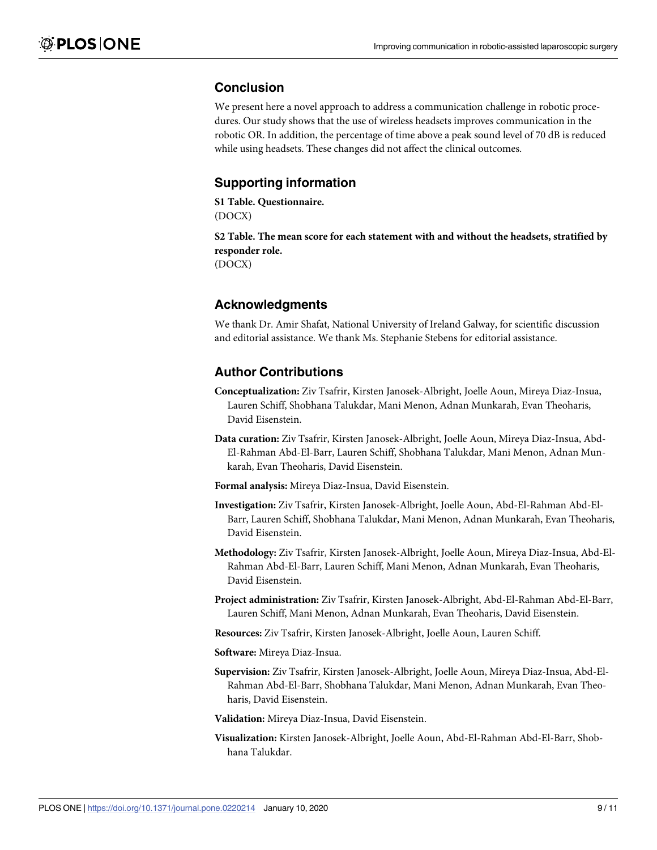# <span id="page-10-0"></span>**Conclusion**

We present here a novel approach to address a communication challenge in robotic procedures. Our study shows that the use of wireless headsets improves communication in the robotic OR. In addition, the percentage of time above a peak sound level of 70 dB is reduced while using headsets. These changes did not affect the clinical outcomes.

## **Supporting information**

**S1 [Table.](http://www.plosone.org/article/fetchSingleRepresentation.action?uri=info:doi/10.1371/journal.pone.0220214.s001) Questionnaire.** (DOCX)

**S2 [Table.](http://www.plosone.org/article/fetchSingleRepresentation.action?uri=info:doi/10.1371/journal.pone.0220214.s002) The mean score for each statement with and without the headsets, stratified by responder role.**

(DOCX)

## **Acknowledgments**

We thank Dr. Amir Shafat, National University of Ireland Galway, for scientific discussion and editorial assistance. We thank Ms. Stephanie Stebens for editorial assistance.

#### **Author Contributions**

- **Conceptualization:** Ziv Tsafrir, Kirsten Janosek-Albright, Joelle Aoun, Mireya Diaz-Insua, Lauren Schiff, Shobhana Talukdar, Mani Menon, Adnan Munkarah, Evan Theoharis, David Eisenstein.
- **Data curation:** Ziv Tsafrir, Kirsten Janosek-Albright, Joelle Aoun, Mireya Diaz-Insua, Abd-El-Rahman Abd-El-Barr, Lauren Schiff, Shobhana Talukdar, Mani Menon, Adnan Munkarah, Evan Theoharis, David Eisenstein.
- **Formal analysis:** Mireya Diaz-Insua, David Eisenstein.
- **Investigation:** Ziv Tsafrir, Kirsten Janosek-Albright, Joelle Aoun, Abd-El-Rahman Abd-El-Barr, Lauren Schiff, Shobhana Talukdar, Mani Menon, Adnan Munkarah, Evan Theoharis, David Eisenstein.
- **Methodology:** Ziv Tsafrir, Kirsten Janosek-Albright, Joelle Aoun, Mireya Diaz-Insua, Abd-El-Rahman Abd-El-Barr, Lauren Schiff, Mani Menon, Adnan Munkarah, Evan Theoharis, David Eisenstein.
- **Project administration:** Ziv Tsafrir, Kirsten Janosek-Albright, Abd-El-Rahman Abd-El-Barr, Lauren Schiff, Mani Menon, Adnan Munkarah, Evan Theoharis, David Eisenstein.
- **Resources:** Ziv Tsafrir, Kirsten Janosek-Albright, Joelle Aoun, Lauren Schiff.

**Software:** Mireya Diaz-Insua.

- **Supervision:** Ziv Tsafrir, Kirsten Janosek-Albright, Joelle Aoun, Mireya Diaz-Insua, Abd-El-Rahman Abd-El-Barr, Shobhana Talukdar, Mani Menon, Adnan Munkarah, Evan Theoharis, David Eisenstein.
- **Validation:** Mireya Diaz-Insua, David Eisenstein.
- **Visualization:** Kirsten Janosek-Albright, Joelle Aoun, Abd-El-Rahman Abd-El-Barr, Shobhana Talukdar.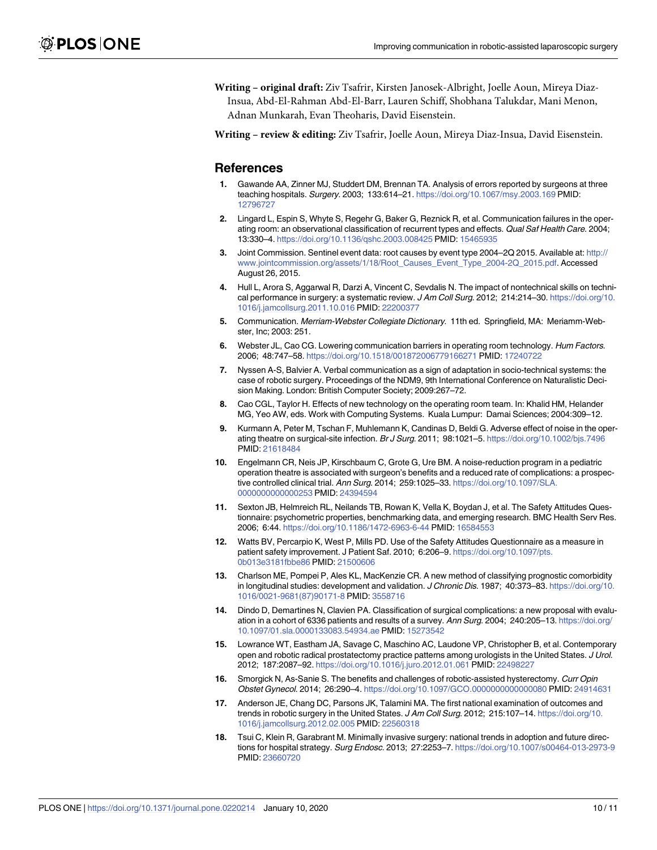<span id="page-11-0"></span>**Writing – original draft:** Ziv Tsafrir, Kirsten Janosek-Albright, Joelle Aoun, Mireya Diaz-Insua, Abd-El-Rahman Abd-El-Barr, Lauren Schiff, Shobhana Talukdar, Mani Menon, Adnan Munkarah, Evan Theoharis, David Eisenstein.

**Writing – review & editing:** Ziv Tsafrir, Joelle Aoun, Mireya Diaz-Insua, David Eisenstein.

#### **References**

- **[1](#page-3-0).** Gawande AA, Zinner MJ, Studdert DM, Brennan TA. Analysis of errors reported by surgeons at three teaching hospitals. Surgery. 2003; 133:614–21. <https://doi.org/10.1067/msy.2003.169> PMID: [12796727](http://www.ncbi.nlm.nih.gov/pubmed/12796727)
- **[2](#page-3-0).** Lingard L, Espin S, Whyte S, Regehr G, Baker G, Reznick R, et al. Communication failures in the operating room: an observational classification of recurrent types and effects. Qual Saf Health Care. 2004; 13:330–4. <https://doi.org/10.1136/qshc.2003.008425> PMID: [15465935](http://www.ncbi.nlm.nih.gov/pubmed/15465935)
- **[3](#page-3-0).** Joint Commission. Sentinel event data: root causes by event type 2004–2Q 2015. Available at: [http://](http://www.jointcommission.org/assets/1/18/Root_Causes_Event_Type_2004-2Q_2015.pdf) [www.jointcommission.org/assets/1/18/Root\\_Causes\\_Event\\_Type\\_2004-2Q\\_2015.pdf.](http://www.jointcommission.org/assets/1/18/Root_Causes_Event_Type_2004-2Q_2015.pdf) Accessed August 26, 2015.
- **[4](#page-3-0).** Hull L, Arora S, Aggarwal R, Darzi A, Vincent C, Sevdalis N. The impact of nontechnical skills on technical performance in surgery: a systematic review. J Am Coll Surg. 2012; 214:214–30. [https://doi.org/10.](https://doi.org/10.1016/j.jamcollsurg.2011.10.016) [1016/j.jamcollsurg.2011.10.016](https://doi.org/10.1016/j.jamcollsurg.2011.10.016) PMID: [22200377](http://www.ncbi.nlm.nih.gov/pubmed/22200377)
- **[5](#page-3-0).** Communication. Merriam-Webster Collegiate Dictionary. 11th ed. Springfield, MA: Meriamm-Webster, Inc; 2003: 251.
- **[6](#page-3-0).** Webster JL, Cao CG. Lowering communication barriers in operating room technology. Hum Factors. 2006; 48:747–58. <https://doi.org/10.1518/001872006779166271> PMID: [17240722](http://www.ncbi.nlm.nih.gov/pubmed/17240722)
- **[7](#page-7-0).** Nyssen A-S, Balvier A. Verbal communication as a sign of adaptation in socio-technical systems: the case of robotic surgery. Proceedings of the NDM9, 9th International Conference on Naturalistic Decision Making. London: British Computer Society; 2009:267–72.
- **[8](#page-3-0).** Cao CGL, Taylor H. Effects of new technology on the operating room team. In: Khalid HM, Helander MG, Yeo AW, eds. Work with Computing Systems. Kuala Lumpur: Damai Sciences; 2004:309–12.
- **[9](#page-3-0).** Kurmann A, Peter M, Tschan F, Muhlemann K, Candinas D, Beldi G. Adverse effect of noise in the operating theatre on surgical-site infection. Br J Surg. 2011; 98:1021–5. <https://doi.org/10.1002/bjs.7496> PMID: [21618484](http://www.ncbi.nlm.nih.gov/pubmed/21618484)
- **[10](#page-3-0).** Engelmann CR, Neis JP, Kirschbaum C, Grote G, Ure BM. A noise-reduction program in a pediatric operation theatre is associated with surgeon's benefits and a reduced rate of complications: a prospective controlled clinical trial. Ann Surg. 2014; 259:1025–33. [https://doi.org/10.1097/SLA.](https://doi.org/10.1097/SLA.0000000000000253) [0000000000000253](https://doi.org/10.1097/SLA.0000000000000253) PMID: [24394594](http://www.ncbi.nlm.nih.gov/pubmed/24394594)
- **[11](#page-3-0).** Sexton JB, Helmreich RL, Neilands TB, Rowan K, Vella K, Boydan J, et al. The Safety Attitudes Questionnaire: psychometric properties, benchmarking data, and emerging research. BMC Health Serv Res. 2006; 6:44. <https://doi.org/10.1186/1472-6963-6-44> PMID: [16584553](http://www.ncbi.nlm.nih.gov/pubmed/16584553)
- **[12](#page-3-0).** Watts BV, Percarpio K, West P, Mills PD. Use of the Safety Attitudes Questionnaire as a measure in patient safety improvement. J Patient Saf. 2010; 6:206–9. [https://doi.org/10.1097/pts.](https://doi.org/10.1097/pts.0b013e3181fbbe86) [0b013e3181fbbe86](https://doi.org/10.1097/pts.0b013e3181fbbe86) PMID: [21500606](http://www.ncbi.nlm.nih.gov/pubmed/21500606)
- **[13](#page-4-0).** Charlson ME, Pompei P, Ales KL, MacKenzie CR. A new method of classifying prognostic comorbidity in longitudinal studies: development and validation. J Chronic Dis. 1987; 40:373-83. [https://doi.org/10.](https://doi.org/10.1016/0021-9681(87)90171-8) [1016/0021-9681\(87\)90171-8](https://doi.org/10.1016/0021-9681(87)90171-8) PMID: [3558716](http://www.ncbi.nlm.nih.gov/pubmed/3558716)
- **[14](#page-4-0).** Dindo D, Demartines N, Clavien PA. Classification of surgical complications: a new proposal with evaluation in a cohort of 6336 patients and results of a survey. Ann Surg. 2004; 240:205–13. [https://doi.org/](https://doi.org/10.1097/01.sla.0000133083.54934.ae) [10.1097/01.sla.0000133083.54934.ae](https://doi.org/10.1097/01.sla.0000133083.54934.ae) PMID: [15273542](http://www.ncbi.nlm.nih.gov/pubmed/15273542)
- **[15](#page-6-0).** Lowrance WT, Eastham JA, Savage C, Maschino AC, Laudone VP, Christopher B, et al. Contemporary open and robotic radical prostatectomy practice patterns among urologists in the United States. J Urol. 2012; 187:2087–92. <https://doi.org/10.1016/j.juro.2012.01.061> PMID: [22498227](http://www.ncbi.nlm.nih.gov/pubmed/22498227)
- **[16](#page-6-0).** Smorgick N, As-Sanie S. The benefits and challenges of robotic-assisted hysterectomy. Curr Opin Obstet Gynecol. 2014; 26:290–4. <https://doi.org/10.1097/GCO.0000000000000080> PMID: [24914631](http://www.ncbi.nlm.nih.gov/pubmed/24914631)
- **[17](#page-7-0).** Anderson JE, Chang DC, Parsons JK, Talamini MA. The first national examination of outcomes and trends in robotic surgery in the United States. J Am Coll Surg. 2012; 215:107-14. [https://doi.org/10.](https://doi.org/10.1016/j.jamcollsurg.2012.02.005) [1016/j.jamcollsurg.2012.02.005](https://doi.org/10.1016/j.jamcollsurg.2012.02.005) PMID: [22560318](http://www.ncbi.nlm.nih.gov/pubmed/22560318)
- **[18](#page-7-0).** Tsui C, Klein R, Garabrant M. Minimally invasive surgery: national trends in adoption and future directions for hospital strategy. Surg Endosc. 2013; 27:2253–7. <https://doi.org/10.1007/s00464-013-2973-9> PMID: [23660720](http://www.ncbi.nlm.nih.gov/pubmed/23660720)